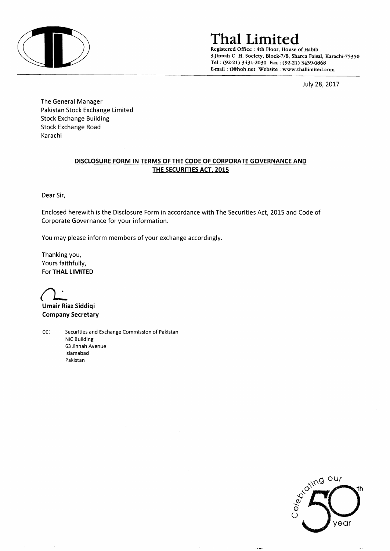

# **ThaI Limited**

Registered Office: 4th Floor, House of Habib 3-Jinnah C. H. Society, Block-7/8, Sharea Faisal, Karachi-75350 Tel: (92-21) 3431-2030 Fax: (92-21) 3439-0868 E-mail: tl@hoh.net Website: www.thallimited.com

July 28, 2017

The General Manager Pakistan Stock Exchange Limited Stock Exchange Building Stock Exchange Road Karachi

#### DISCLOSURE FORM IN TERMS OF THE CODE OF CORPORATE GOVERNANCE AND THE SECURITIES ACT, 2015

Dear Sir,

Enclosed herewith is the Disclosure Form in accordance with The Securities Act, 2015 and Code of Corporate Governance for your information.

You may please inform members of your exchange accordingly.

Thanking you, Yours faithfully, For THAL LIMITED

Umair Riaz Siddiqi Company Secretary

cc: Securities and Exchange Commission of Pakistan NIC Building 63 Jinnah Avenue Islamabad Pakistan

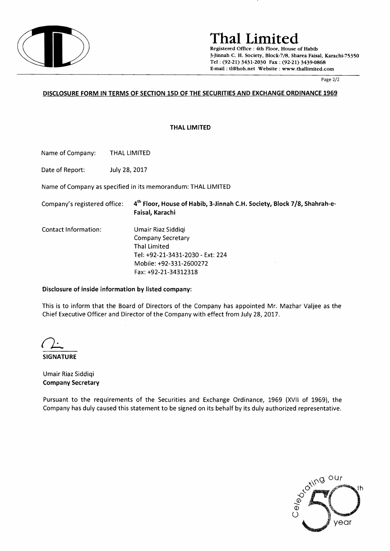

## **ThaI Limited**

Registered Office: 4th Floor, House of Habib 3-Jinnah C. H. Society, Block-7/8, Sharea Faisal, Karachi-75350 Tel . (92-21) 3431-2030 Fax: (92-21) 3439-0868 E-mail: tl@hoh.net Website: www.thallimited.com

Page 2/2

#### DISCLOSURE FORM IN TERMS OF SECTION 15D OF THE SECURITIES AND EXCHANGE ORDINANCE 1969

THAL LIMITED

Name of Company: THAL LIMITED

Date of Report: July 28, 2017

Name of Company as specified in its memorandum: THAL LIMITED

| Company's registered office: | 4 <sup>th</sup> Floor, House of Habib, 3-Jinnah C.H. Society, Block 7/8, Shahrah-e-<br>Faisal, Karachi                                         |
|------------------------------|------------------------------------------------------------------------------------------------------------------------------------------------|
| Contact Information:         | Umair Riaz Siddigi<br>Company Secretary<br>Thal Limited<br>Tel: +92-21-3431-2030 - Ext: 224<br>Mobile: +92-331-2600272<br>Fax: +92-21-34312318 |

#### Disclosure of inside information by listed company:

This is to inform that the Board of Directors of the Company has appointed Mr. Mazhar Valjee as the Chief Executive Officer and Director of the Company with effect from July 28,2017.

**SIGNATURE** 

Umair Riaz Siddiqi Company Secretary

Pursuant to the requirements of the Securities and Exchange Ordinance, 1969 (XVII of 1969), the Company has duly caused this statement to be signed on its behalf by its duly authorized representative.